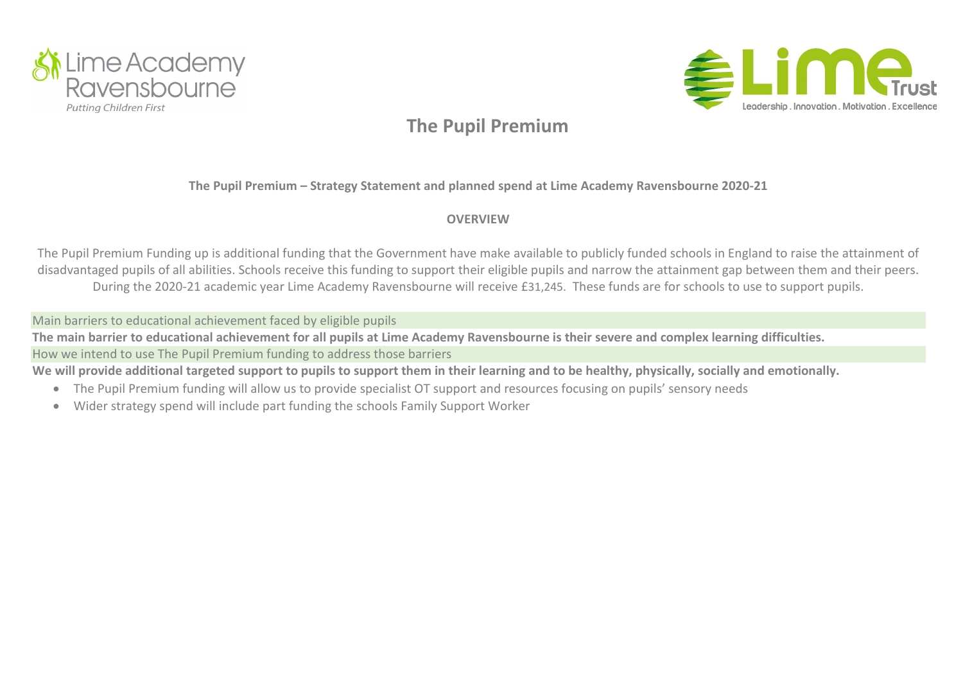



**The Pupil Premium – Strategy Statement and planned spend at Lime Academy Ravensbourne 2020-21**

### **OVERVIEW**

The Pupil Premium Funding up is additional funding that the Government have make available to publicly funded schools in England to raise the attainment of disadvantaged pupils of all abilities. Schools receive this funding to support their eligible pupils and narrow the attainment gap between them and their peers. During the 2020-21 academic year Lime Academy Ravensbourne will receive £31,245. These funds are for schools to use to support pupils.

Main barriers to educational achievement faced by eligible pupils

The main barrier to educational achievement for all pupils at Lime Academy Ravensbourne is their severe and complex learning difficulties. How we intend to use The Pupil Premium funding to address those barriers

We will provide additional targeted support to pupils to support them in their learning and to be healthy, physically, socially and emotionally.

- The Pupil Premium funding will allow us to provide specialist OT support and resources focusing on pupils' sensory needs
- Wider strategy spend will include part funding the schools Family Support Worker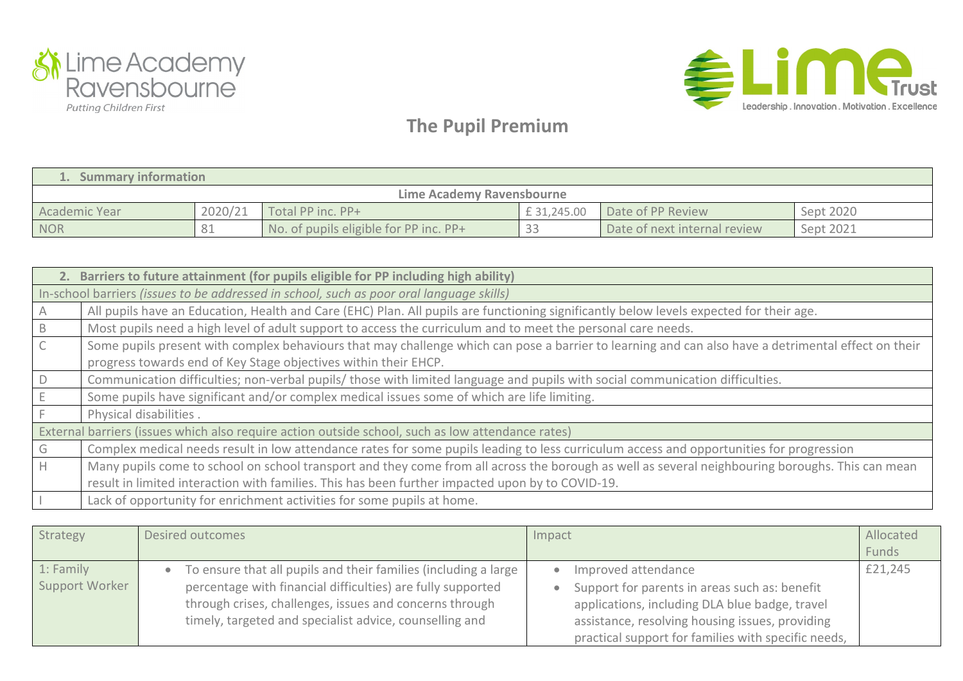



| <b>Summary information</b> |         |                                        |             |                              |           |  |  |
|----------------------------|---------|----------------------------------------|-------------|------------------------------|-----------|--|--|
| Lime Academy Ravensbourne  |         |                                        |             |                              |           |  |  |
| Academic Year              | 2020/21 | Total PP inc. PP+                      | £ 31,245.00 | Date of PP Review            | Sept 2020 |  |  |
| <b>NOR</b>                 | 81      | No. of pupils eligible for PP inc. PP+ | ں ب         | Date of next internal review | Sept 2021 |  |  |

|                                                                                                   | 2. Barriers to future attainment (for pupils eligible for PP including high ability)                                                                |  |  |  |  |
|---------------------------------------------------------------------------------------------------|-----------------------------------------------------------------------------------------------------------------------------------------------------|--|--|--|--|
| In-school barriers (issues to be addressed in school, such as poor oral language skills)          |                                                                                                                                                     |  |  |  |  |
|                                                                                                   | All pupils have an Education, Health and Care (EHC) Plan. All pupils are functioning significantly below levels expected for their age.             |  |  |  |  |
| -B                                                                                                | Most pupils need a high level of adult support to access the curriculum and to meet the personal care needs.                                        |  |  |  |  |
| $\mathsf C$                                                                                       | Some pupils present with complex behaviours that may challenge which can pose a barrier to learning and can also have a detrimental effect on their |  |  |  |  |
|                                                                                                   | progress towards end of Key Stage objectives within their EHCP.                                                                                     |  |  |  |  |
| $\mathsf D$                                                                                       | Communication difficulties; non-verbal pupils/ those with limited language and pupils with social communication difficulties.                       |  |  |  |  |
|                                                                                                   | Some pupils have significant and/or complex medical issues some of which are life limiting.                                                         |  |  |  |  |
|                                                                                                   | Physical disabilities.                                                                                                                              |  |  |  |  |
| External barriers (issues which also require action outside school, such as low attendance rates) |                                                                                                                                                     |  |  |  |  |
| G                                                                                                 | Complex medical needs result in low attendance rates for some pupils leading to less curriculum access and opportunities for progression            |  |  |  |  |
| H                                                                                                 | Many pupils come to school on school transport and they come from all across the borough as well as several neighbouring boroughs. This can mean    |  |  |  |  |
|                                                                                                   | result in limited interaction with families. This has been further impacted upon by to COVID-19.                                                    |  |  |  |  |
|                                                                                                   | Lack of opportunity for enrichment activities for some pupils at home.                                                                              |  |  |  |  |

| Strategy       | Desired outcomes                                                | Impact                                              | Allocated |
|----------------|-----------------------------------------------------------------|-----------------------------------------------------|-----------|
|                |                                                                 |                                                     | Funds     |
| 1: Family      | To ensure that all pupils and their families (including a large | Improved attendance                                 | £21,245   |
| Support Worker | percentage with financial difficulties) are fully supported     | Support for parents in areas such as: benefit       |           |
|                | through crises, challenges, issues and concerns through         | applications, including DLA blue badge, travel      |           |
|                | timely, targeted and specialist advice, counselling and         | assistance, resolving housing issues, providing     |           |
|                |                                                                 | practical support for families with specific needs, |           |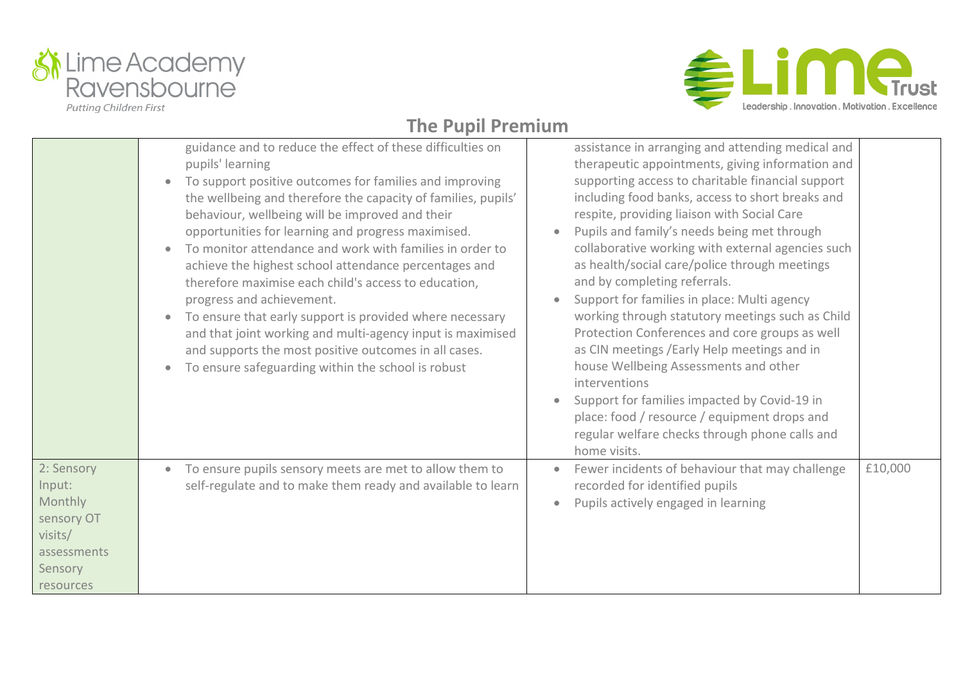



|                                                                                                 | guidance and to reduce the effect of these difficulties on<br>pupils' learning<br>To support positive outcomes for families and improving<br>$\bullet$<br>the wellbeing and therefore the capacity of families, pupils'<br>behaviour, wellbeing will be improved and their<br>opportunities for learning and progress maximised.<br>To monitor attendance and work with families in order to<br>achieve the highest school attendance percentages and<br>therefore maximise each child's access to education,<br>progress and achievement.<br>To ensure that early support is provided where necessary<br>$\bullet$<br>and that joint working and multi-agency input is maximised<br>and supports the most positive outcomes in all cases.<br>To ensure safeguarding within the school is robust<br>$\bullet$ | assistance in arranging and attending medical and<br>therapeutic appointments, giving information and<br>supporting access to charitable financial support<br>including food banks, access to short breaks and<br>respite, providing liaison with Social Care<br>Pupils and family's needs being met through<br>collaborative working with external agencies such<br>as health/social care/police through meetings<br>and by completing referrals.<br>Support for families in place: Multi agency<br>working through statutory meetings such as Child<br>Protection Conferences and core groups as well<br>as CIN meetings / Early Help meetings and in<br>house Wellbeing Assessments and other<br>interventions<br>Support for families impacted by Covid-19 in<br>place: food / resource / equipment drops and<br>regular welfare checks through phone calls and<br>home visits. |         |
|-------------------------------------------------------------------------------------------------|---------------------------------------------------------------------------------------------------------------------------------------------------------------------------------------------------------------------------------------------------------------------------------------------------------------------------------------------------------------------------------------------------------------------------------------------------------------------------------------------------------------------------------------------------------------------------------------------------------------------------------------------------------------------------------------------------------------------------------------------------------------------------------------------------------------|-------------------------------------------------------------------------------------------------------------------------------------------------------------------------------------------------------------------------------------------------------------------------------------------------------------------------------------------------------------------------------------------------------------------------------------------------------------------------------------------------------------------------------------------------------------------------------------------------------------------------------------------------------------------------------------------------------------------------------------------------------------------------------------------------------------------------------------------------------------------------------------|---------|
| 2: Sensory<br>Input:<br>Monthly<br>sensory OT<br>visits/<br>assessments<br>Sensory<br>resources | To ensure pupils sensory meets are met to allow them to<br>$\bullet$<br>self-regulate and to make them ready and available to learn                                                                                                                                                                                                                                                                                                                                                                                                                                                                                                                                                                                                                                                                           | Fewer incidents of behaviour that may challenge<br>recorded for identified pupils<br>Pupils actively engaged in learning                                                                                                                                                                                                                                                                                                                                                                                                                                                                                                                                                                                                                                                                                                                                                            | £10,000 |